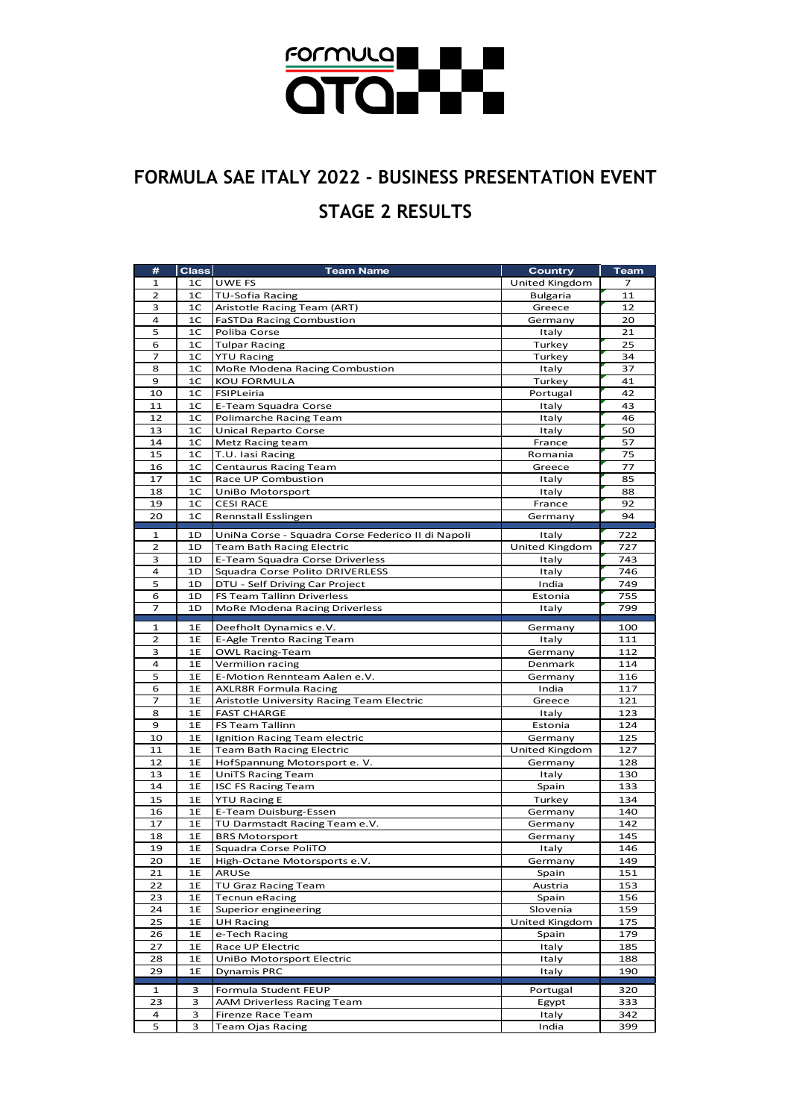

## **FORMULA SAE ITALY 2022 - BUSINESS PRESENTATION EVENT STAGE 2 RESULTS**

| #              | <b>Class</b>   | <b>Team Name</b>                                  | Country         | <b>Team</b> |
|----------------|----------------|---------------------------------------------------|-----------------|-------------|
| 1              | 1C             | UWE FS                                            | United Kingdom  | 7           |
| 2              | 1C             | <b>TU-Sofia Racing</b>                            | <b>Bulgaria</b> | 11          |
| з              | 1 <sup>C</sup> | Aristotle Racing Team (ART)                       | Greece          | 12          |
| 4              | 1 <sup>C</sup> | <b>FaSTDa Racing Combustion</b>                   | Germany         | 20          |
| 5              | 1C             | Poliba Corse                                      | Italy           | 21          |
| 6              | 1 <sup>C</sup> | <b>Tulpar Racing</b>                              | Turkey          | 25          |
| 7              | 1C             | <b>YTU Racing</b>                                 | Turkey          | 34          |
| 8              | 1 <sup>C</sup> | MoRe Modena Racing Combustion                     | Italy           | 37          |
| 9              | 1 <sup>C</sup> | KOU FORMULA                                       | Turkey          | 41          |
| 10             | 1 <sup>C</sup> | FSIPLeiria                                        | Portugal        | 42          |
| 11             | 1 <sup>C</sup> | E-Team Squadra Corse                              | Italy           | 43          |
| 12             | 1 <sup>C</sup> | Polimarche Racing Team                            | Italy           | 46          |
| 13             | 1C             | Unical Reparto Corse                              | Italy           | 50          |
| 14             | 1C             | Metz Racing team                                  | France          | 57          |
| 15             | 1C             | T.U. lasi Racing                                  | Romania         | 75          |
| 16             | 1 <sup>C</sup> | <b>Centaurus Racing Team</b>                      | Greece          | 77          |
| 17             | 1C             | Race UP Combustion                                | Italy           | 85          |
| 18             | 1 <sup>C</sup> | UniBo Motorsport                                  | Italy           | 88          |
| 19             | 1 <sup>C</sup> | <b>CESI RACE</b>                                  | France          | 92          |
| 20             | 1C             | Rennstall Esslingen                               | Germany         | 94          |
|                |                |                                                   |                 |             |
| $\mathbf{1}$   | 1D             | UniNa Corse - Squadra Corse Federico II di Napoli | Italy           | 722         |
| 2              | 1D             | <b>Team Bath Racing Electric</b>                  | United Kingdom  | 727         |
| 3              | 1D             | E-Team Squadra Corse Driverless                   | Italy           | 743         |
| 4              | 1D             | Squadra Corse Polito DRIVERLESS                   | Italy           | 746         |
| 5              | 1D             | DTU - Self Driving Car Project                    | India           | 749         |
| 6              | 1D             | FS Team Tallinn Driverless                        | Estonia         | 755         |
| $\overline{7}$ | 1D             | MoRe Modena Racing Driverless                     | Italy           | 799         |
| 1              | 1E             | Deefholt Dynamics e.V.                            | Germany         | 100         |
| $\overline{2}$ | 1E             | E-Agle Trento Racing Team                         | Italy           | 111         |
| з              | 1E             | <b>OWL Racing-Team</b>                            | Germany         | 112         |
| $\overline{a}$ | 1E             | Vermilion racing                                  | Denmark         | 114         |
| 5              | 1E             | E-Motion Rennteam Aalen e.V.                      | Germany         | 116         |
| 6              | 1E             | <b>AXLR8R Formula Racing</b>                      | India           | 117         |
| 7              | 1E             | Aristotle University Racing Team Electric         | Greece          | 121         |
| 8              | 1E             | <b>FAST CHARGE</b>                                | Italy           | 123         |
| 9              | 1E             | <b>FS Team Tallinn</b>                            | Estonia         | 124         |
| 10             | 1E             | Ignition Racing Team electric                     | Germany         | 125         |
| 11             | 1E             | <b>Team Bath Racing Electric</b>                  | United Kingdom  | 127         |
| 12             | 1E             | HofSpannung Motorsport e. V.                      | Germany         | 128         |
| 13             | 1E             | <b>UniTS Racing Team</b>                          | Italy           | 130         |
| 14             | 1E             |                                                   |                 |             |
|                |                |                                                   |                 |             |
|                |                | <b>ISC FS Racing Team</b>                         | Spain           | 133         |
| 15             | 1E             | <b>YTU Racing E</b>                               | Turkey          | 134         |
| 16             | 1E             | E-Team Duisburg-Essen                             | Germany         | 140         |
| 17             | 1E             | TU Darmstadt Racing Team e.V.                     | Germany         | 142         |
| 18             | 1E             | <b>BRS Motorsport</b>                             | Germany         | 145         |
| 19             | 1E             | Squadra Corse PoliTO                              | Italy           | 146         |
| 20             | 1E             | High-Octane Motorsports e.V.                      | Germany         | 149         |
| 21             | 1E             | ARUSe                                             | Spain           | 151         |
| 22             | 1E             | <b>TU Graz Racing Team</b>                        | Austria         | 153         |
| 23             | 1E             | <b>Tecnun eRacing</b>                             | Spain           | 156         |
| 24             | 1E             | Superior engineering                              | Slovenia        | 159         |
| 25             | 1E             | <b>UH Racing</b>                                  | United Kingdom  | 175         |
| 26             | 1E             | e-Tech Racing                                     | Spain           | 179         |
| 27             | 1E             | Race UP Electric                                  | Italy           | 185         |
| 28             | 1E             | UniBo Motorsport Electric                         | Italy           | 188         |
| 29             | 1E             | Dynamis PRC                                       | Italy           | 190         |
| 1              | з              | Formula Student FEUP                              | Portugal        | 320         |
| 23             | з              | AAM Driverless Racing Team                        | Egypt           | 333         |
| 4              | з              | Firenze Race Team                                 | Italy           | 342         |